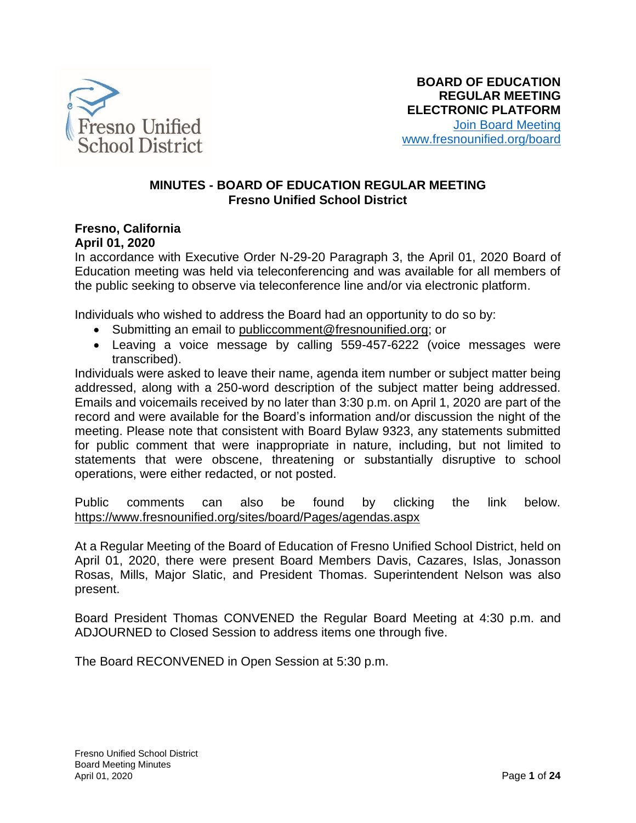

### **MINUTES - BOARD OF EDUCATION REGULAR MEETING Fresno Unified School District**

### **Fresno, California April 01, 2020**

In accordance with Executive Order N-29-20 Paragraph 3, the April 01, 2020 Board of Education meeting was held via teleconferencing and was available for all members of the public seeking to observe via teleconference line and/or via electronic platform.

Individuals who wished to address the Board had an opportunity to do so by:

- Submitting an email to [publiccomment@fresnounified.org;](mailto:publiccomment@fresnounified.org) or
- Leaving a voice message by calling 559-457-6222 (voice messages were transcribed).

Individuals were asked to leave their name, agenda item number or subject matter being addressed, along with a 250-word description of the subject matter being addressed. Emails and voicemails received by no later than 3:30 p.m. on April 1, 2020 are part of the record and were available for the Board's information and/or discussion the night of the meeting. Please note that consistent with Board Bylaw 9323, any statements submitted for public comment that were inappropriate in nature, including, but not limited to statements that were obscene, threatening or substantially disruptive to school operations, were either redacted, or not posted.

Public comments can also be found by clicking the link below. <https://www.fresnounified.org/sites/board/Pages/agendas.aspx>

At a Regular Meeting of the Board of Education of Fresno Unified School District, held on April 01, 2020, there were present Board Members Davis, Cazares, Islas, Jonasson Rosas, Mills, Major Slatic, and President Thomas. Superintendent Nelson was also present.

Board President Thomas CONVENED the Regular Board Meeting at 4:30 p.m. and ADJOURNED to Closed Session to address items one through five.

The Board RECONVENED in Open Session at 5:30 p.m.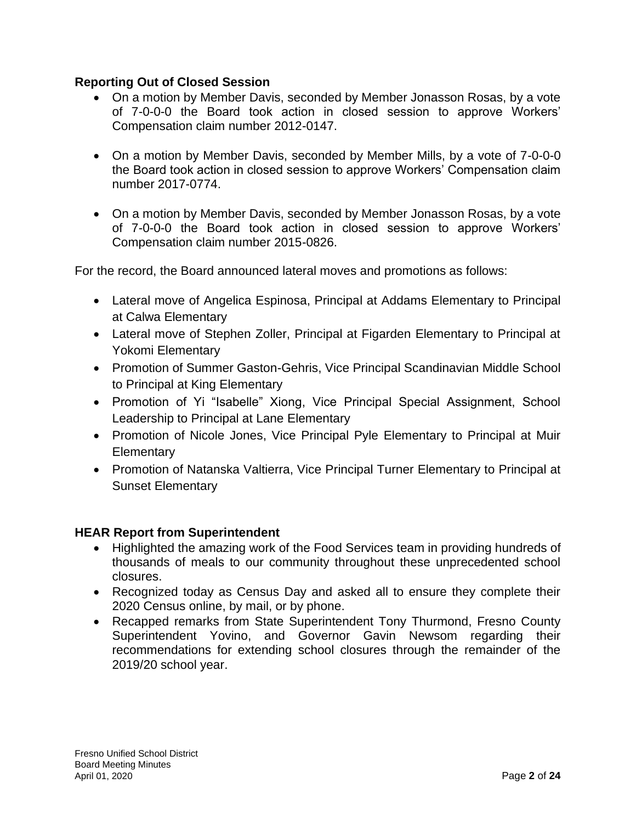## **Reporting Out of Closed Session**

- On a motion by Member Davis, seconded by Member Jonasson Rosas, by a vote of 7-0-0-0 the Board took action in closed session to approve Workers' Compensation claim number 2012-0147.
- On a motion by Member Davis, seconded by Member Mills, by a vote of 7-0-0-0 the Board took action in closed session to approve Workers' Compensation claim number 2017-0774.
- On a motion by Member Davis, seconded by Member Jonasson Rosas, by a vote of 7-0-0-0 the Board took action in closed session to approve Workers' Compensation claim number 2015-0826.

For the record, the Board announced lateral moves and promotions as follows:

- Lateral move of Angelica Espinosa, Principal at Addams Elementary to Principal at Calwa Elementary
- Lateral move of Stephen Zoller, Principal at Figarden Elementary to Principal at Yokomi Elementary
- Promotion of Summer Gaston-Gehris, Vice Principal Scandinavian Middle School to Principal at King Elementary
- Promotion of Yi "Isabelle" Xiong, Vice Principal Special Assignment, School Leadership to Principal at Lane Elementary
- Promotion of Nicole Jones, Vice Principal Pyle Elementary to Principal at Muir **Elementary**
- Promotion of Natanska Valtierra, Vice Principal Turner Elementary to Principal at Sunset Elementary

### **HEAR Report from Superintendent**

- Highlighted the amazing work of the Food Services team in providing hundreds of thousands of meals to our community throughout these unprecedented school closures.
- Recognized today as Census Day and asked all to ensure they complete their 2020 Census online, by mail, or by phone.
- Recapped remarks from State Superintendent Tony Thurmond, Fresno County Superintendent Yovino, and Governor Gavin Newsom regarding their recommendations for extending school closures through the remainder of the 2019/20 school year.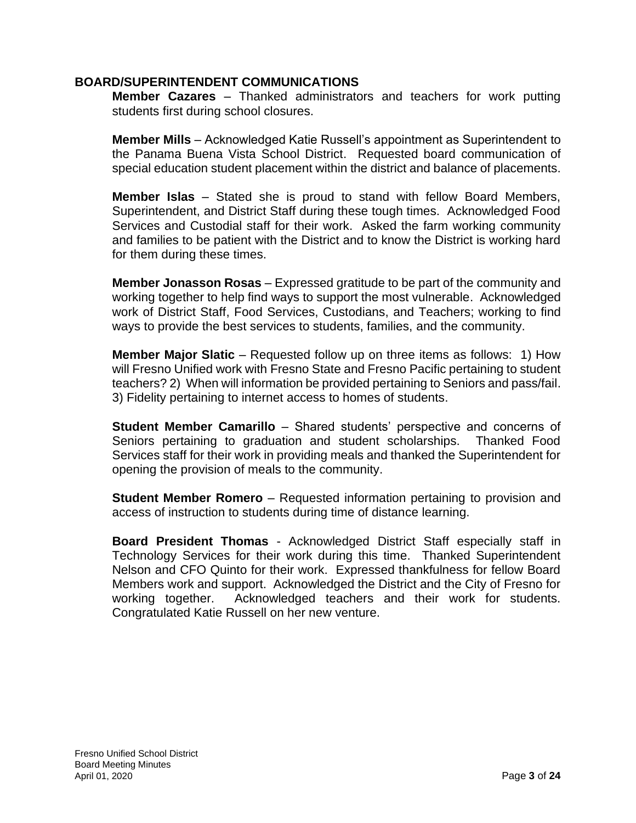### **BOARD/SUPERINTENDENT COMMUNICATIONS**

**Member Cazares** – Thanked administrators and teachers for work putting students first during school closures.

**Member Mills** – Acknowledged Katie Russell's appointment as Superintendent to the Panama Buena Vista School District. Requested board communication of special education student placement within the district and balance of placements.

**Member Islas** – Stated she is proud to stand with fellow Board Members, Superintendent, and District Staff during these tough times. Acknowledged Food Services and Custodial staff for their work. Asked the farm working community and families to be patient with the District and to know the District is working hard for them during these times.

**Member Jonasson Rosas** – Expressed gratitude to be part of the community and working together to help find ways to support the most vulnerable. Acknowledged work of District Staff, Food Services, Custodians, and Teachers; working to find ways to provide the best services to students, families, and the community.

**Member Major Slatic** – Requested follow up on three items as follows: 1) How will Fresno Unified work with Fresno State and Fresno Pacific pertaining to student teachers? 2) When will information be provided pertaining to Seniors and pass/fail. 3) Fidelity pertaining to internet access to homes of students.

**Student Member Camarillo** – Shared students' perspective and concerns of Seniors pertaining to graduation and student scholarships. Thanked Food Services staff for their work in providing meals and thanked the Superintendent for opening the provision of meals to the community.

**Student Member Romero** – Requested information pertaining to provision and access of instruction to students during time of distance learning.

**Board President Thomas** - Acknowledged District Staff especially staff in Technology Services for their work during this time. Thanked Superintendent Nelson and CFO Quinto for their work. Expressed thankfulness for fellow Board Members work and support. Acknowledged the District and the City of Fresno for working together. Acknowledged teachers and their work for students. Congratulated Katie Russell on her new venture.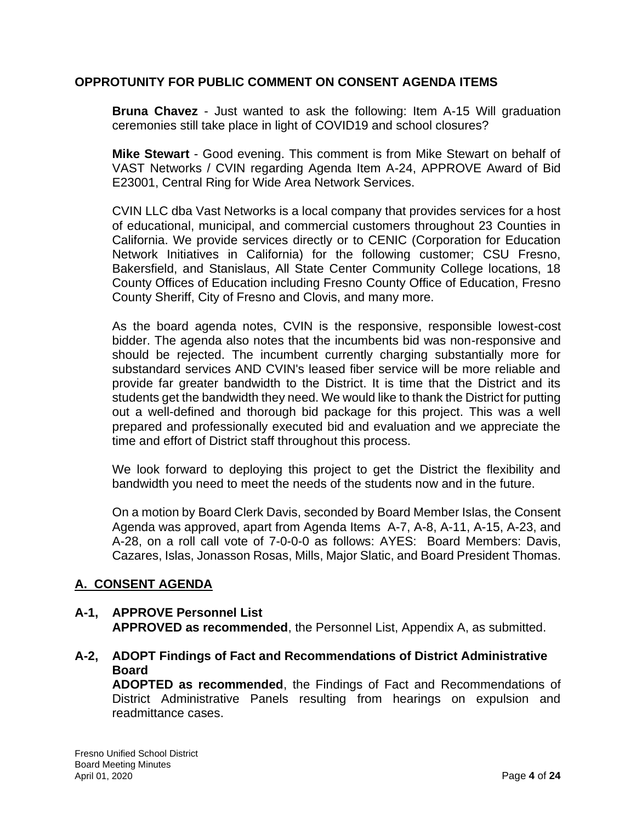## **OPPROTUNITY FOR PUBLIC COMMENT ON CONSENT AGENDA ITEMS**

**Bruna Chavez** - Just wanted to ask the following: Item A-15 Will graduation ceremonies still take place in light of COVID19 and school closures?

**Mike Stewart** - Good evening. This comment is from Mike Stewart on behalf of VAST Networks / CVIN regarding Agenda Item A-24, APPROVE Award of Bid E23001, Central Ring for Wide Area Network Services.

CVIN LLC dba Vast Networks is a local company that provides services for a host of educational, municipal, and commercial customers throughout 23 Counties in California. We provide services directly or to CENIC (Corporation for Education Network Initiatives in California) for the following customer; CSU Fresno, Bakersfield, and Stanislaus, All State Center Community College locations, 18 County Offices of Education including Fresno County Office of Education, Fresno County Sheriff, City of Fresno and Clovis, and many more.

As the board agenda notes, CVIN is the responsive, responsible lowest-cost bidder. The agenda also notes that the incumbents bid was non-responsive and should be rejected. The incumbent currently charging substantially more for substandard services AND CVIN's leased fiber service will be more reliable and provide far greater bandwidth to the District. It is time that the District and its students get the bandwidth they need. We would like to thank the District for putting out a well-defined and thorough bid package for this project. This was a well prepared and professionally executed bid and evaluation and we appreciate the time and effort of District staff throughout this process.

We look forward to deploying this project to get the District the flexibility and bandwidth you need to meet the needs of the students now and in the future.

On a motion by Board Clerk Davis, seconded by Board Member Islas, the Consent Agenda was approved, apart from Agenda Items A-7, A-8, A-11, A-15, A-23, and A-28, on a roll call vote of 7-0-0-0 as follows: AYES: Board Members: Davis, Cazares, Islas, Jonasson Rosas, Mills, Major Slatic, and Board President Thomas.

## **A. CONSENT AGENDA**

### **A-1, APPROVE Personnel List APPROVED as recommended**, the Personnel List, Appendix A, as submitted.

## **A-2, ADOPT Findings of Fact and Recommendations of District Administrative Board**

**ADOPTED as recommended**, the Findings of Fact and Recommendations of District Administrative Panels resulting from hearings on expulsion and readmittance cases.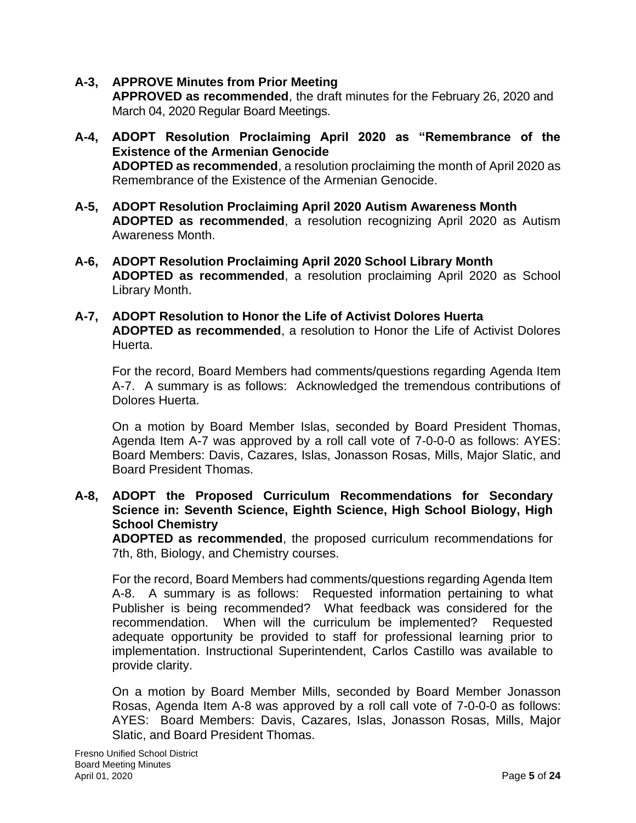### **A-3, APPROVE Minutes from Prior Meeting**

**APPROVED as recommended**, the draft minutes for the February 26, 2020 and March 04, 2020 Regular Board Meetings.

- **A-4, ADOPT Resolution Proclaiming April 2020 as "Remembrance of the Existence of the Armenian Genocide ADOPTED as recommended**, a resolution proclaiming the month of April 2020 as Remembrance of the Existence of the Armenian Genocide.
- **A-5, ADOPT Resolution Proclaiming April 2020 Autism Awareness Month ADOPTED as recommended**, a resolution recognizing April 2020 as Autism Awareness Month.
- **A-6, ADOPT Resolution Proclaiming April 2020 School Library Month ADOPTED as recommended**, a resolution proclaiming April 2020 as School Library Month.
- **A-7, ADOPT Resolution to Honor the Life of Activist Dolores Huerta ADOPTED as recommended**, a resolution to Honor the Life of Activist Dolores Huerta.

For the record, Board Members had comments/questions regarding Agenda Item A-7. A summary is as follows: Acknowledged the tremendous contributions of Dolores Huerta.

On a motion by Board Member Islas, seconded by Board President Thomas, Agenda Item A-7 was approved by a roll call vote of 7-0-0-0 as follows: AYES: Board Members: Davis, Cazares, Islas, Jonasson Rosas, Mills, Major Slatic, and Board President Thomas.

### **A-8, ADOPT the Proposed Curriculum Recommendations for Secondary Science in: Seventh Science, Eighth Science, High School Biology, High School Chemistry**

**ADOPTED as recommended**, the proposed curriculum recommendations for 7th, 8th, Biology, and Chemistry courses.

For the record, Board Members had comments/questions regarding Agenda Item A-8. A summary is as follows: Requested information pertaining to what Publisher is being recommended? What feedback was considered for the recommendation. When will the curriculum be implemented? Requested adequate opportunity be provided to staff for professional learning prior to implementation. Instructional Superintendent, Carlos Castillo was available to provide clarity.

On a motion by Board Member Mills, seconded by Board Member Jonasson Rosas, Agenda Item A-8 was approved by a roll call vote of 7-0-0-0 as follows: AYES: Board Members: Davis, Cazares, Islas, Jonasson Rosas, Mills, Major Slatic, and Board President Thomas.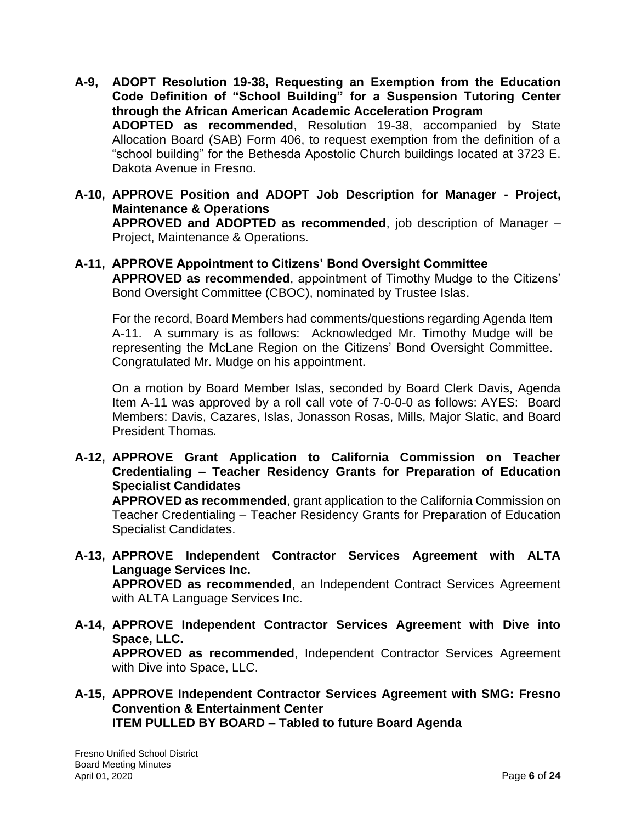- **A-9, ADOPT Resolution 19-38, Requesting an Exemption from the Education Code Definition of "School Building" for a Suspension Tutoring Center through the African American Academic Acceleration Program ADOPTED as recommended**, Resolution 19-38, accompanied by State Allocation Board (SAB) Form 406, to request exemption from the definition of a "school building" for the Bethesda Apostolic Church buildings located at 3723 E. Dakota Avenue in Fresno.
- **A-10, APPROVE Position and ADOPT Job Description for Manager - Project, Maintenance & Operations APPROVED and ADOPTED as recommended**, job description of Manager – Project, Maintenance & Operations.

### **A-11, APPROVE Appointment to Citizens' Bond Oversight Committee**

**APPROVED as recommended**, appointment of Timothy Mudge to the Citizens' Bond Oversight Committee (CBOC), nominated by Trustee Islas.

For the record, Board Members had comments/questions regarding Agenda Item A-11. A summary is as follows: Acknowledged Mr. Timothy Mudge will be representing the McLane Region on the Citizens' Bond Oversight Committee. Congratulated Mr. Mudge on his appointment.

On a motion by Board Member Islas, seconded by Board Clerk Davis, Agenda Item A-11 was approved by a roll call vote of 7-0-0-0 as follows: AYES: Board Members: Davis, Cazares, Islas, Jonasson Rosas, Mills, Major Slatic, and Board President Thomas.

**A-12, APPROVE Grant Application to California Commission on Teacher Credentialing – Teacher Residency Grants for Preparation of Education Specialist Candidates**

**APPROVED as recommended**, grant application to the California Commission on Teacher Credentialing – Teacher Residency Grants for Preparation of Education Specialist Candidates.

**A-13, APPROVE Independent Contractor Services Agreement with ALTA Language Services Inc.**

**APPROVED as recommended**, an Independent Contract Services Agreement with ALTA Language Services Inc.

- **A-14, APPROVE Independent Contractor Services Agreement with Dive into Space, LLC. APPROVED as recommended**, Independent Contractor Services Agreement with Dive into Space, LLC.
- **A-15, APPROVE Independent Contractor Services Agreement with SMG: Fresno Convention & Entertainment Center ITEM PULLED BY BOARD – Tabled to future Board Agenda**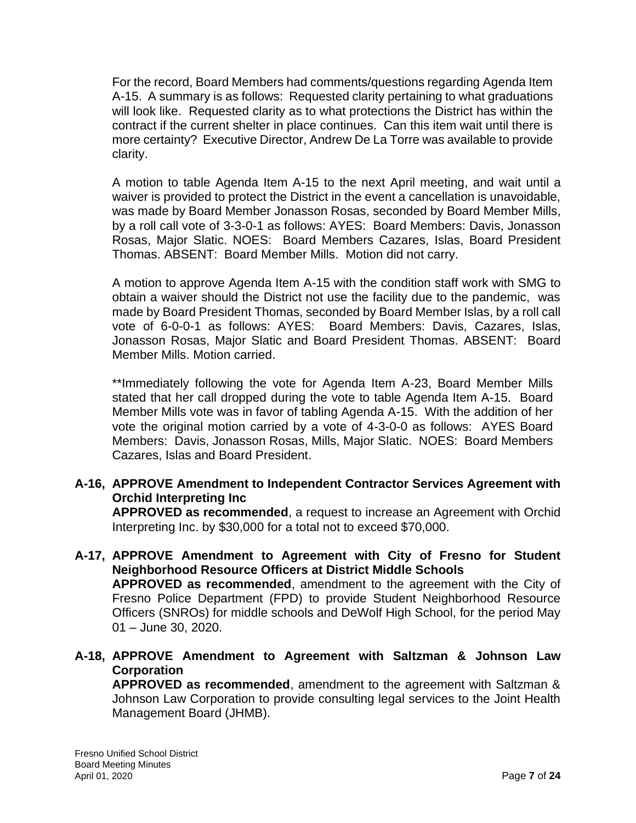For the record, Board Members had comments/questions regarding Agenda Item A-15. A summary is as follows: Requested clarity pertaining to what graduations will look like. Requested clarity as to what protections the District has within the contract if the current shelter in place continues. Can this item wait until there is more certainty? Executive Director, Andrew De La Torre was available to provide clarity.

A motion to table Agenda Item A-15 to the next April meeting, and wait until a waiver is provided to protect the District in the event a cancellation is unavoidable, was made by Board Member Jonasson Rosas, seconded by Board Member Mills, by a roll call vote of 3-3-0-1 as follows: AYES: Board Members: Davis, Jonasson Rosas, Major Slatic. NOES: Board Members Cazares, Islas, Board President Thomas. ABSENT: Board Member Mills. Motion did not carry.

A motion to approve Agenda Item A-15 with the condition staff work with SMG to obtain a waiver should the District not use the facility due to the pandemic, was made by Board President Thomas, seconded by Board Member Islas, by a roll call vote of 6-0-0-1 as follows: AYES: Board Members: Davis, Cazares, Islas, Jonasson Rosas, Major Slatic and Board President Thomas. ABSENT: Board Member Mills. Motion carried.

\*\*Immediately following the vote for Agenda Item A-23, Board Member Mills stated that her call dropped during the vote to table Agenda Item A-15. Board Member Mills vote was in favor of tabling Agenda A-15. With the addition of her vote the original motion carried by a vote of 4-3-0-0 as follows: AYES Board Members: Davis, Jonasson Rosas, Mills, Major Slatic. NOES: Board Members Cazares, Islas and Board President.

## **A-16, APPROVE Amendment to Independent Contractor Services Agreement with Orchid Interpreting Inc**

**APPROVED as recommended**, a request to increase an Agreement with Orchid Interpreting Inc. by \$30,000 for a total not to exceed \$70,000.

### **A-17, APPROVE Amendment to Agreement with City of Fresno for Student Neighborhood Resource Officers at District Middle Schools APPROVED as recommended**, amendment to the agreement with the City of Fresno Police Department (FPD) to provide Student Neighborhood Resource Officers (SNROs) for middle schools and DeWolf High School, for the period May 01 – June 30, 2020.

**A-18, APPROVE Amendment to Agreement with Saltzman & Johnson Law Corporation**

**APPROVED as recommended**, amendment to the agreement with Saltzman & Johnson Law Corporation to provide consulting legal services to the Joint Health Management Board (JHMB).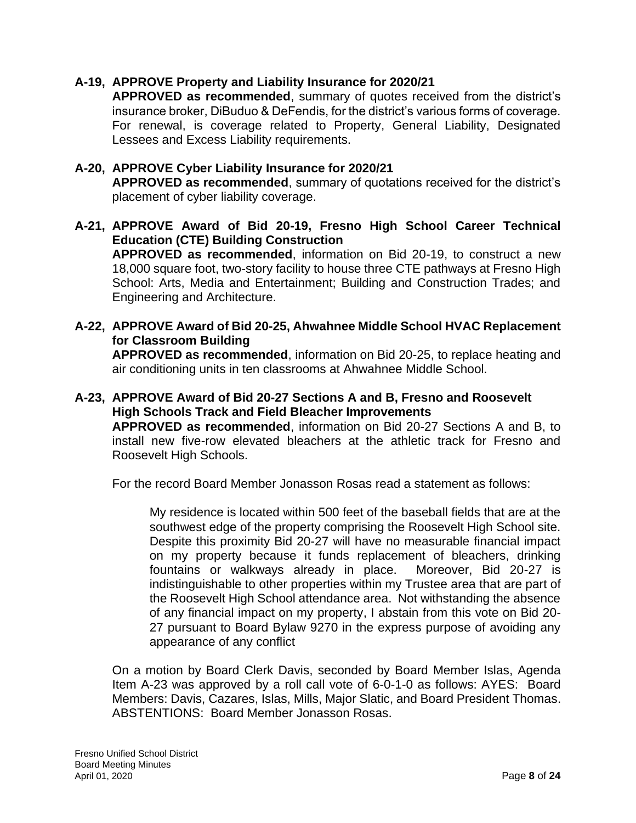## **A-19, APPROVE Property and Liability Insurance for 2020/21**

**APPROVED as recommended**, summary of quotes received from the district's insurance broker, DiBuduo & DeFendis, for the district's various forms of coverage. For renewal, is coverage related to Property, General Liability, Designated Lessees and Excess Liability requirements.

### **A-20, APPROVE Cyber Liability Insurance for 2020/21 APPROVED as recommended**, summary of quotations received for the district's placement of cyber liability coverage.

- **A-21, APPROVE Award of Bid 20-19, Fresno High School Career Technical Education (CTE) Building Construction APPROVED as recommended**, information on Bid 20-19, to construct a new 18,000 square foot, two-story facility to house three CTE pathways at Fresno High School: Arts, Media and Entertainment; Building and Construction Trades; and Engineering and Architecture.
- **A-22, APPROVE Award of Bid 20-25, Ahwahnee Middle School HVAC Replacement for Classroom Building APPROVED as recommended**, information on Bid 20-25, to replace heating and air conditioning units in ten classrooms at Ahwahnee Middle School.
- **A-23, APPROVE Award of Bid 20-27 Sections A and B, Fresno and Roosevelt High Schools Track and Field Bleacher Improvements APPROVED as recommended**, information on Bid 20-27 Sections A and B, to install new five-row elevated bleachers at the athletic track for Fresno and Roosevelt High Schools.

For the record Board Member Jonasson Rosas read a statement as follows:

My residence is located within 500 feet of the baseball fields that are at the southwest edge of the property comprising the Roosevelt High School site. Despite this proximity Bid 20-27 will have no measurable financial impact on my property because it funds replacement of bleachers, drinking fountains or walkways already in place. Moreover, Bid 20-27 is indistinguishable to other properties within my Trustee area that are part of the Roosevelt High School attendance area. Not withstanding the absence of any financial impact on my property, I abstain from this vote on Bid 20- 27 pursuant to Board Bylaw 9270 in the express purpose of avoiding any appearance of any conflict

On a motion by Board Clerk Davis, seconded by Board Member Islas, Agenda Item A-23 was approved by a roll call vote of 6-0-1-0 as follows: AYES: Board Members: Davis, Cazares, Islas, Mills, Major Slatic, and Board President Thomas. ABSTENTIONS: Board Member Jonasson Rosas.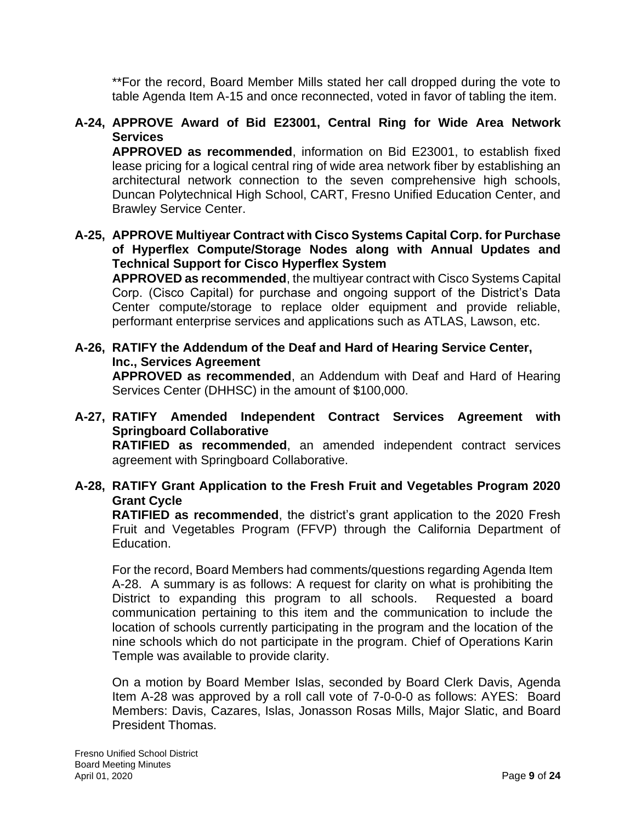\*\*For the record, Board Member Mills stated her call dropped during the vote to table Agenda Item A-15 and once reconnected, voted in favor of tabling the item.

## **A-24, APPROVE Award of Bid E23001, Central Ring for Wide Area Network Services**

**APPROVED as recommended**, information on Bid E23001, to establish fixed lease pricing for a logical central ring of wide area network fiber by establishing an architectural network connection to the seven comprehensive high schools, Duncan Polytechnical High School, CART, Fresno Unified Education Center, and Brawley Service Center.

### **A-25, APPROVE Multiyear Contract with Cisco Systems Capital Corp. for Purchase of Hyperflex Compute/Storage Nodes along with Annual Updates and Technical Support for Cisco Hyperflex System**

**APPROVED as recommended**, the multiyear contract with Cisco Systems Capital Corp. (Cisco Capital) for purchase and ongoing support of the District's Data Center compute/storage to replace older equipment and provide reliable, performant enterprise services and applications such as ATLAS, Lawson, etc.

## **A-26, RATIFY the Addendum of the Deaf and Hard of Hearing Service Center, Inc., Services Agreement**

**APPROVED as recommended**, an Addendum with Deaf and Hard of Hearing Services Center (DHHSC) in the amount of \$100,000.

### **A-27, RATIFY Amended Independent Contract Services Agreement with Springboard Collaborative RATIFIED as recommended**, an amended independent contract services agreement with Springboard Collaborative.

## **A-28, RATIFY Grant Application to the Fresh Fruit and Vegetables Program 2020 Grant Cycle**

**RATIFIED as recommended**, the district's grant application to the 2020 Fresh Fruit and Vegetables Program (FFVP) through the California Department of Education.

For the record, Board Members had comments/questions regarding Agenda Item A-28. A summary is as follows: A request for clarity on what is prohibiting the District to expanding this program to all schools. Requested a board communication pertaining to this item and the communication to include the location of schools currently participating in the program and the location of the nine schools which do not participate in the program. Chief of Operations Karin Temple was available to provide clarity.

On a motion by Board Member Islas, seconded by Board Clerk Davis, Agenda Item A-28 was approved by a roll call vote of 7-0-0-0 as follows: AYES: Board Members: Davis, Cazares, Islas, Jonasson Rosas Mills, Major Slatic, and Board President Thomas.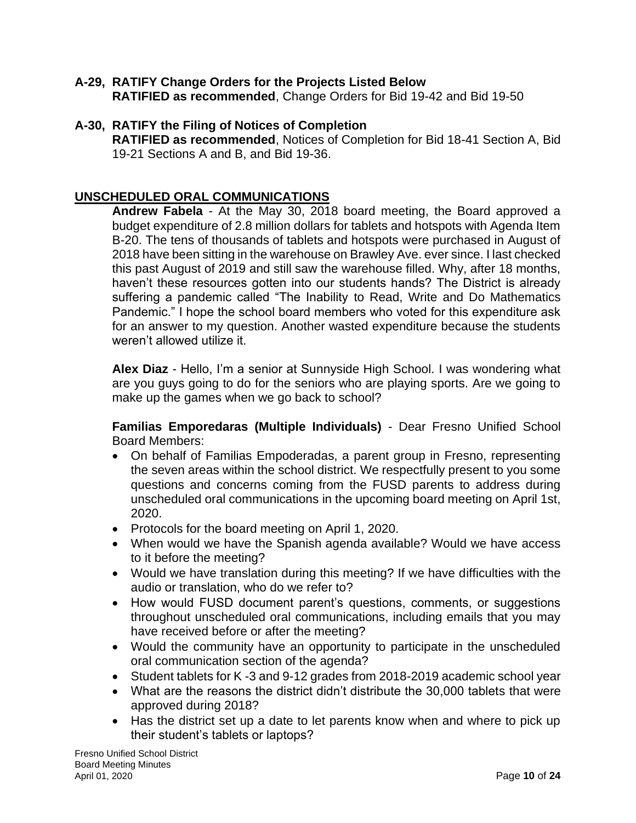#### **A-29, RATIFY Change Orders for the Projects Listed Below RATIFIED as recommended**, Change Orders for Bid 19-42 and Bid 19-50

## **A-30, RATIFY the Filing of Notices of Completion**

**RATIFIED as recommended**, Notices of Completion for Bid 18-41 Section A, Bid 19-21 Sections A and B, and Bid 19-36.

## **UNSCHEDULED ORAL COMMUNICATIONS**

**Andrew Fabela** - At the May 30, 2018 board meeting, the Board approved a budget expenditure of 2.8 million dollars for tablets and hotspots with Agenda Item B-20. The tens of thousands of tablets and hotspots were purchased in August of 2018 have been sitting in the warehouse on Brawley Ave. ever since. I last checked this past August of 2019 and still saw the warehouse filled. Why, after 18 months, haven't these resources gotten into our students hands? The District is already suffering a pandemic called "The Inability to Read, Write and Do Mathematics Pandemic." I hope the school board members who voted for this expenditure ask for an answer to my question. Another wasted expenditure because the students weren't allowed utilize it.

**Alex Diaz** - Hello, I'm a senior at Sunnyside High School. I was wondering what are you guys going to do for the seniors who are playing sports. Are we going to make up the games when we go back to school?

**Familias Emporedaras (Multiple Individuals)** - Dear Fresno Unified School Board Members:

- On behalf of Familias Empoderadas, a parent group in Fresno, representing the seven areas within the school district. We respectfully present to you some questions and concerns coming from the FUSD parents to address during unscheduled oral communications in the upcoming board meeting on April 1st, 2020.
- Protocols for the board meeting on April 1, 2020.
- When would we have the Spanish agenda available? Would we have access to it before the meeting?
- Would we have translation during this meeting? If we have difficulties with the audio or translation, who do we refer to?
- How would FUSD document parent's questions, comments, or suggestions throughout unscheduled oral communications, including emails that you may have received before or after the meeting?
- Would the community have an opportunity to participate in the unscheduled oral communication section of the agenda?
- Student tablets for K -3 and 9-12 grades from 2018-2019 academic school year
- What are the reasons the district didn't distribute the 30,000 tablets that were approved during 2018?
- Has the district set up a date to let parents know when and where to pick up their student's tablets or laptops?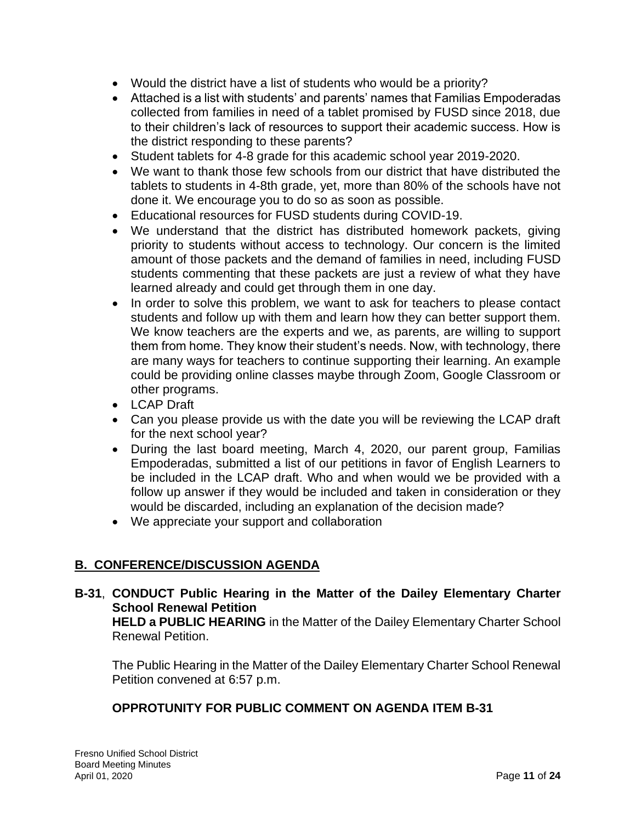- Would the district have a list of students who would be a priority?
- Attached is a list with students' and parents' names that Familias Empoderadas collected from families in need of a tablet promised by FUSD since 2018, due to their children's lack of resources to support their academic success. How is the district responding to these parents?
- Student tablets for 4-8 grade for this academic school year 2019-2020.
- We want to thank those few schools from our district that have distributed the tablets to students in 4-8th grade, yet, more than 80% of the schools have not done it. We encourage you to do so as soon as possible.
- Educational resources for FUSD students during COVID-19.
- We understand that the district has distributed homework packets, giving priority to students without access to technology. Our concern is the limited amount of those packets and the demand of families in need, including FUSD students commenting that these packets are just a review of what they have learned already and could get through them in one day.
- In order to solve this problem, we want to ask for teachers to please contact students and follow up with them and learn how they can better support them. We know teachers are the experts and we, as parents, are willing to support them from home. They know their student's needs. Now, with technology, there are many ways for teachers to continue supporting their learning. An example could be providing online classes maybe through Zoom, Google Classroom or other programs.
- LCAP Draft
- Can you please provide us with the date you will be reviewing the LCAP draft for the next school year?
- During the last board meeting, March 4, 2020, our parent group, Familias Empoderadas, submitted a list of our petitions in favor of English Learners to be included in the LCAP draft. Who and when would we be provided with a follow up answer if they would be included and taken in consideration or they would be discarded, including an explanation of the decision made?
- We appreciate your support and collaboration

## **B. CONFERENCE/DISCUSSION AGENDA**

**B-31**, **CONDUCT Public Hearing in the Matter of the Dailey Elementary Charter School Renewal Petition HELD a PUBLIC HEARING** in the Matter of the Dailey Elementary Charter School

Renewal Petition.

The Public Hearing in the Matter of the Dailey Elementary Charter School Renewal Petition convened at 6:57 p.m.

## **OPPROTUNITY FOR PUBLIC COMMENT ON AGENDA ITEM B-31**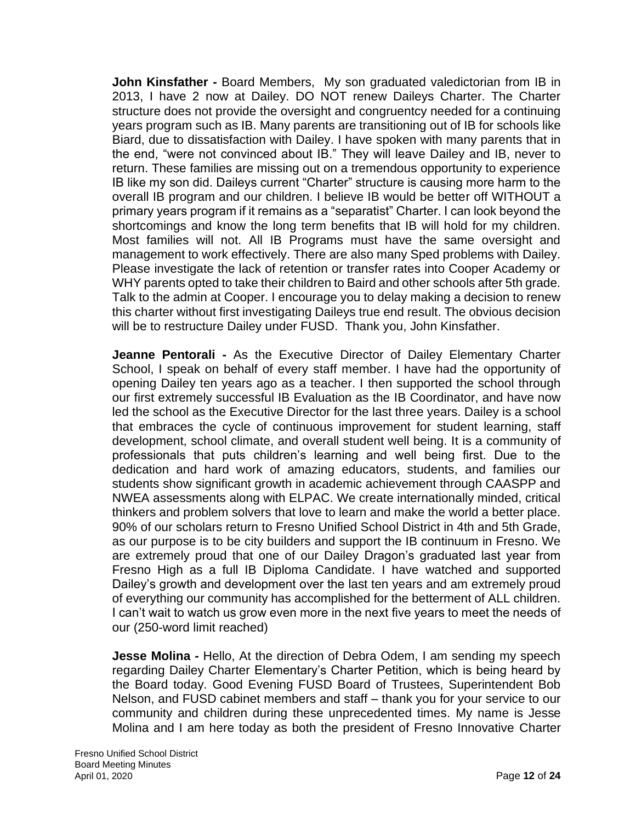**John Kinsfather -** Board Members, My son graduated valedictorian from IB in 2013, I have 2 now at Dailey. DO NOT renew Daileys Charter. The Charter structure does not provide the oversight and congruentcy needed for a continuing years program such as IB. Many parents are transitioning out of IB for schools like Biard, due to dissatisfaction with Dailey. I have spoken with many parents that in the end, "were not convinced about IB." They will leave Dailey and IB, never to return. These families are missing out on a tremendous opportunity to experience IB like my son did. Daileys current "Charter" structure is causing more harm to the overall IB program and our children. I believe IB would be better off WITHOUT a primary years program if it remains as a "separatist" Charter. I can look beyond the shortcomings and know the long term benefits that IB will hold for my children. Most families will not. All IB Programs must have the same oversight and management to work effectively. There are also many Sped problems with Dailey. Please investigate the lack of retention or transfer rates into Cooper Academy or WHY parents opted to take their children to Baird and other schools after 5th grade. Talk to the admin at Cooper. I encourage you to delay making a decision to renew this charter without first investigating Daileys true end result. The obvious decision will be to restructure Dailey under FUSD. Thank you, John Kinsfather.

**Jeanne Pentorali -** As the Executive Director of Dailey Elementary Charter School, I speak on behalf of every staff member. I have had the opportunity of opening Dailey ten years ago as a teacher. I then supported the school through our first extremely successful IB Evaluation as the IB Coordinator, and have now led the school as the Executive Director for the last three years. Dailey is a school that embraces the cycle of continuous improvement for student learning, staff development, school climate, and overall student well being. It is a community of professionals that puts children's learning and well being first. Due to the dedication and hard work of amazing educators, students, and families our students show significant growth in academic achievement through CAASPP and NWEA assessments along with ELPAC. We create internationally minded, critical thinkers and problem solvers that love to learn and make the world a better place. 90% of our scholars return to Fresno Unified School District in 4th and 5th Grade, as our purpose is to be city builders and support the IB continuum in Fresno. We are extremely proud that one of our Dailey Dragon's graduated last year from Fresno High as a full IB Diploma Candidate. I have watched and supported Dailey's growth and development over the last ten years and am extremely proud of everything our community has accomplished for the betterment of ALL children. I can't wait to watch us grow even more in the next five years to meet the needs of our (250-word limit reached)

**Jesse Molina** - Hello, At the direction of Debra Odem, I am sending my speech regarding Dailey Charter Elementary's Charter Petition, which is being heard by the Board today. Good Evening FUSD Board of Trustees, Superintendent Bob Nelson, and FUSD cabinet members and staff – thank you for your service to our community and children during these unprecedented times. My name is Jesse Molina and I am here today as both the president of Fresno Innovative Charter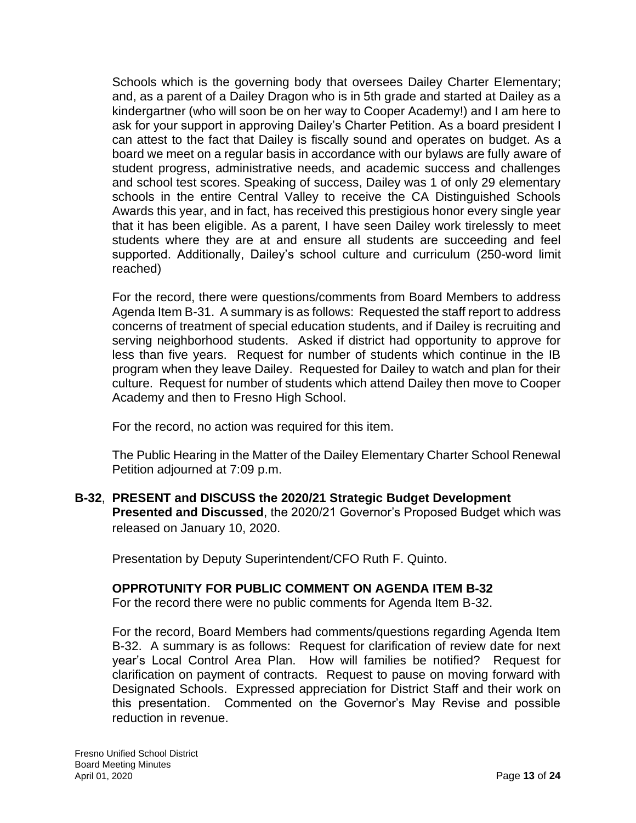Schools which is the governing body that oversees Dailey Charter Elementary; and, as a parent of a Dailey Dragon who is in 5th grade and started at Dailey as a kindergartner (who will soon be on her way to Cooper Academy!) and I am here to ask for your support in approving Dailey's Charter Petition. As a board president I can attest to the fact that Dailey is fiscally sound and operates on budget. As a board we meet on a regular basis in accordance with our bylaws are fully aware of student progress, administrative needs, and academic success and challenges and school test scores. Speaking of success, Dailey was 1 of only 29 elementary schools in the entire Central Valley to receive the CA Distinguished Schools Awards this year, and in fact, has received this prestigious honor every single year that it has been eligible. As a parent, I have seen Dailey work tirelessly to meet students where they are at and ensure all students are succeeding and feel supported. Additionally, Dailey's school culture and curriculum (250-word limit reached)

For the record, there were questions/comments from Board Members to address Agenda Item B-31. A summary is as follows: Requested the staff report to address concerns of treatment of special education students, and if Dailey is recruiting and serving neighborhood students. Asked if district had opportunity to approve for less than five years. Request for number of students which continue in the IB program when they leave Dailey. Requested for Dailey to watch and plan for their culture. Request for number of students which attend Dailey then move to Cooper Academy and then to Fresno High School.

For the record, no action was required for this item.

The Public Hearing in the Matter of the Dailey Elementary Charter School Renewal Petition adjourned at 7:09 p.m.

**B-32**, **PRESENT and DISCUSS the 2020/21 Strategic Budget Development Presented and Discussed**, the 2020/21 Governor's Proposed Budget which was released on January 10, 2020.

Presentation by Deputy Superintendent/CFO Ruth F. Quinto.

## **OPPROTUNITY FOR PUBLIC COMMENT ON AGENDA ITEM B-32**

For the record there were no public comments for Agenda Item B-32.

For the record, Board Members had comments/questions regarding Agenda Item B-32. A summary is as follows: Request for clarification of review date for next year's Local Control Area Plan. How will families be notified? Request for clarification on payment of contracts. Request to pause on moving forward with Designated Schools. Expressed appreciation for District Staff and their work on this presentation. Commented on the Governor's May Revise and possible reduction in revenue.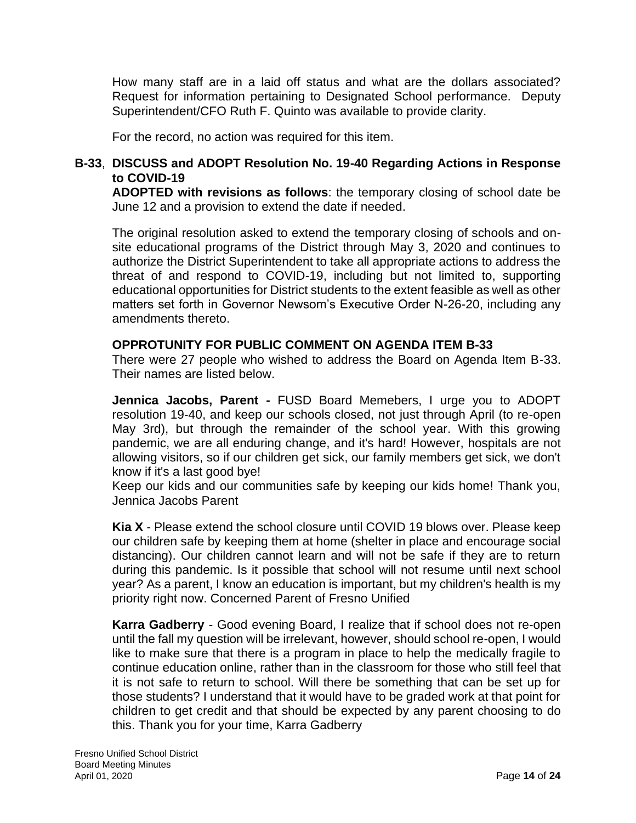How many staff are in a laid off status and what are the dollars associated? Request for information pertaining to Designated School performance. Deputy Superintendent/CFO Ruth F. Quinto was available to provide clarity.

For the record, no action was required for this item.

## **B-33**, **DISCUSS and ADOPT Resolution No. 19-40 Regarding Actions in Response to COVID-19**

**ADOPTED with revisions as follows**: the temporary closing of school date be June 12 and a provision to extend the date if needed.

The original resolution asked to extend the temporary closing of schools and onsite educational programs of the District through May 3, 2020 and continues to authorize the District Superintendent to take all appropriate actions to address the threat of and respond to COVID-19, including but not limited to, supporting educational opportunities for District students to the extent feasible as well as other matters set forth in Governor Newsom's Executive Order N-26-20, including any amendments thereto.

### **OPPROTUNITY FOR PUBLIC COMMENT ON AGENDA ITEM B-33**

There were 27 people who wished to address the Board on Agenda Item B-33. Their names are listed below.

**Jennica Jacobs, Parent -** FUSD Board Memebers, I urge you to ADOPT resolution 19-40, and keep our schools closed, not just through April (to re-open May 3rd), but through the remainder of the school year. With this growing pandemic, we are all enduring change, and it's hard! However, hospitals are not allowing visitors, so if our children get sick, our family members get sick, we don't know if it's a last good bye!

Keep our kids and our communities safe by keeping our kids home! Thank you, Jennica Jacobs Parent

**Kia X** - Please extend the school closure until COVID 19 blows over. Please keep our children safe by keeping them at home (shelter in place and encourage social distancing). Our children cannot learn and will not be safe if they are to return during this pandemic. Is it possible that school will not resume until next school year? As a parent, I know an education is important, but my children's health is my priority right now. Concerned Parent of Fresno Unified

**Karra Gadberry** - Good evening Board, I realize that if school does not re-open until the fall my question will be irrelevant, however, should school re-open, I would like to make sure that there is a program in place to help the medically fragile to continue education online, rather than in the classroom for those who still feel that it is not safe to return to school. Will there be something that can be set up for those students? I understand that it would have to be graded work at that point for children to get credit and that should be expected by any parent choosing to do this. Thank you for your time, Karra Gadberry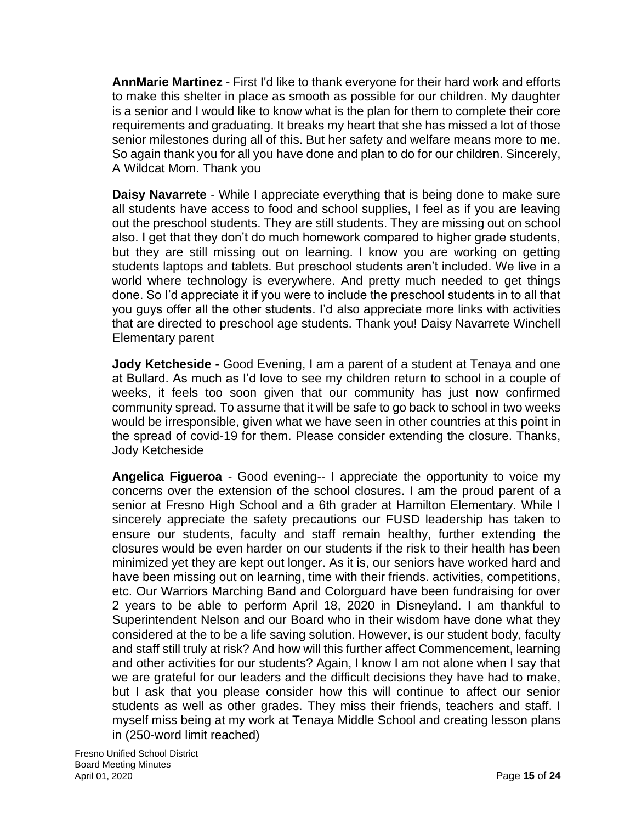**AnnMarie Martinez** - First I'd like to thank everyone for their hard work and efforts to make this shelter in place as smooth as possible for our children. My daughter is a senior and I would like to know what is the plan for them to complete their core requirements and graduating. It breaks my heart that she has missed a lot of those senior milestones during all of this. But her safety and welfare means more to me. So again thank you for all you have done and plan to do for our children. Sincerely, A Wildcat Mom. Thank you

**Daisy Navarrete** - While I appreciate everything that is being done to make sure all students have access to food and school supplies, I feel as if you are leaving out the preschool students. They are still students. They are missing out on school also. I get that they don't do much homework compared to higher grade students, but they are still missing out on learning. I know you are working on getting students laptops and tablets. But preschool students aren't included. We live in a world where technology is everywhere. And pretty much needed to get things done. So I'd appreciate it if you were to include the preschool students in to all that you guys offer all the other students. I'd also appreciate more links with activities that are directed to preschool age students. Thank you! Daisy Navarrete Winchell Elementary parent

**Jody Ketcheside -** Good Evening, I am a parent of a student at Tenaya and one at Bullard. As much as I'd love to see my children return to school in a couple of weeks, it feels too soon given that our community has just now confirmed community spread. To assume that it will be safe to go back to school in two weeks would be irresponsible, given what we have seen in other countries at this point in the spread of covid-19 for them. Please consider extending the closure. Thanks, Jody Ketcheside

**Angelica Figueroa** - Good evening-- I appreciate the opportunity to voice my concerns over the extension of the school closures. I am the proud parent of a senior at Fresno High School and a 6th grader at Hamilton Elementary. While I sincerely appreciate the safety precautions our FUSD leadership has taken to ensure our students, faculty and staff remain healthy, further extending the closures would be even harder on our students if the risk to their health has been minimized yet they are kept out longer. As it is, our seniors have worked hard and have been missing out on learning, time with their friends. activities, competitions, etc. Our Warriors Marching Band and Colorguard have been fundraising for over 2 years to be able to perform April 18, 2020 in Disneyland. I am thankful to Superintendent Nelson and our Board who in their wisdom have done what they considered at the to be a life saving solution. However, is our student body, faculty and staff still truly at risk? And how will this further affect Commencement, learning and other activities for our students? Again, I know I am not alone when I say that we are grateful for our leaders and the difficult decisions they have had to make, but I ask that you please consider how this will continue to affect our senior students as well as other grades. They miss their friends, teachers and staff. I myself miss being at my work at Tenaya Middle School and creating lesson plans in (250-word limit reached)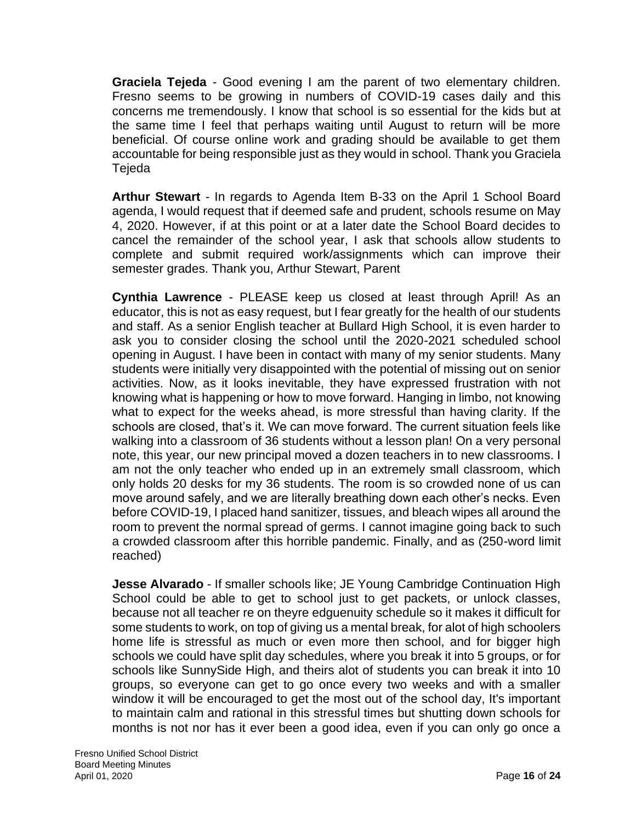**Graciela Tejeda** - Good evening I am the parent of two elementary children. Fresno seems to be growing in numbers of COVID-19 cases daily and this concerns me tremendously. I know that school is so essential for the kids but at the same time I feel that perhaps waiting until August to return will be more beneficial. Of course online work and grading should be available to get them accountable for being responsible just as they would in school. Thank you Graciela Tejeda

**Arthur Stewart** - In regards to Agenda Item B-33 on the April 1 School Board agenda, I would request that if deemed safe and prudent, schools resume on May 4, 2020. However, if at this point or at a later date the School Board decides to cancel the remainder of the school year, I ask that schools allow students to complete and submit required work/assignments which can improve their semester grades. Thank you, Arthur Stewart, Parent

**Cynthia Lawrence** - PLEASE keep us closed at least through April! As an educator, this is not as easy request, but I fear greatly for the health of our students and staff. As a senior English teacher at Bullard High School, it is even harder to ask you to consider closing the school until the 2020-2021 scheduled school opening in August. I have been in contact with many of my senior students. Many students were initially very disappointed with the potential of missing out on senior activities. Now, as it looks inevitable, they have expressed frustration with not knowing what is happening or how to move forward. Hanging in limbo, not knowing what to expect for the weeks ahead, is more stressful than having clarity. If the schools are closed, that's it. We can move forward. The current situation feels like walking into a classroom of 36 students without a lesson plan! On a very personal note, this year, our new principal moved a dozen teachers in to new classrooms. I am not the only teacher who ended up in an extremely small classroom, which only holds 20 desks for my 36 students. The room is so crowded none of us can move around safely, and we are literally breathing down each other's necks. Even before COVID-19, I placed hand sanitizer, tissues, and bleach wipes all around the room to prevent the normal spread of germs. I cannot imagine going back to such a crowded classroom after this horrible pandemic. Finally, and as (250-word limit reached)

**Jesse Alvarado** - If smaller schools like; JE Young Cambridge Continuation High School could be able to get to school just to get packets, or unlock classes, because not all teacher re on theyre edguenuity schedule so it makes it difficult for some students to work, on top of giving us a mental break, for alot of high schoolers home life is stressful as much or even more then school, and for bigger high schools we could have split day schedules, where you break it into 5 groups, or for schools like SunnySide High, and theirs alot of students you can break it into 10 groups, so everyone can get to go once every two weeks and with a smaller window it will be encouraged to get the most out of the school day, It's important to maintain calm and rational in this stressful times but shutting down schools for months is not nor has it ever been a good idea, even if you can only go once a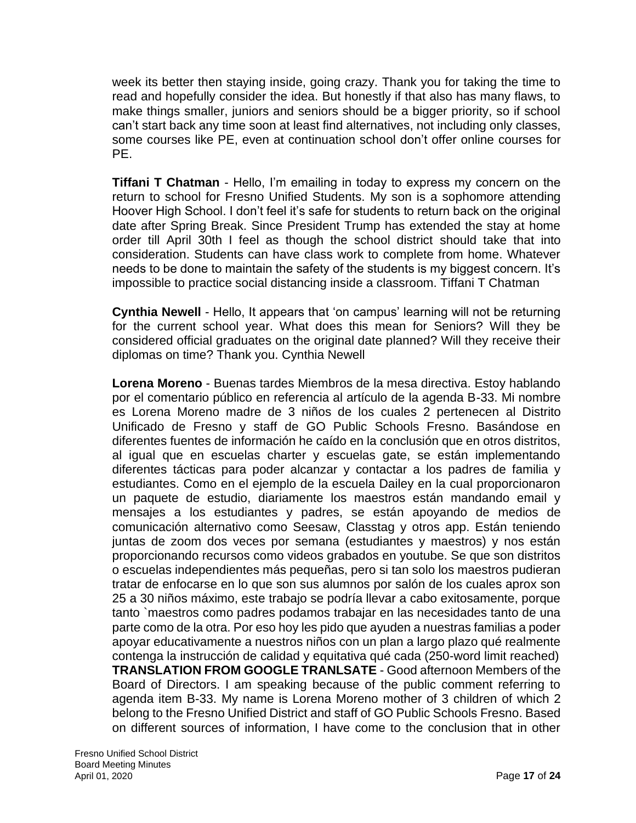week its better then staying inside, going crazy. Thank you for taking the time to read and hopefully consider the idea. But honestly if that also has many flaws, to make things smaller, juniors and seniors should be a bigger priority, so if school can't start back any time soon at least find alternatives, not including only classes, some courses like PE, even at continuation school don't offer online courses for PE.

**Tiffani T Chatman** - Hello, I'm emailing in today to express my concern on the return to school for Fresno Unified Students. My son is a sophomore attending Hoover High School. I don't feel it's safe for students to return back on the original date after Spring Break. Since President Trump has extended the stay at home order till April 30th I feel as though the school district should take that into consideration. Students can have class work to complete from home. Whatever needs to be done to maintain the safety of the students is my biggest concern. It's impossible to practice social distancing inside a classroom. Tiffani T Chatman

**Cynthia Newell** - Hello, It appears that 'on campus' learning will not be returning for the current school year. What does this mean for Seniors? Will they be considered official graduates on the original date planned? Will they receive their diplomas on time? Thank you. Cynthia Newell

**Lorena Moreno** - Buenas tardes Miembros de la mesa directiva. Estoy hablando por el comentario público en referencia al artículo de la agenda B-33. Mi nombre es Lorena Moreno madre de 3 niños de los cuales 2 pertenecen al Distrito Unificado de Fresno y staff de GO Public Schools Fresno. Basándose en diferentes fuentes de información he caído en la conclusión que en otros distritos, al igual que en escuelas charter y escuelas gate, se están implementando diferentes tácticas para poder alcanzar y contactar a los padres de familia y estudiantes. Como en el ejemplo de la escuela Dailey en la cual proporcionaron un paquete de estudio, diariamente los maestros están mandando email y mensajes a los estudiantes y padres, se están apoyando de medios de comunicación alternativo como Seesaw, Classtag y otros app. Están teniendo juntas de zoom dos veces por semana (estudiantes y maestros) y nos están proporcionando recursos como videos grabados en youtube. Se que son distritos o escuelas independientes más pequeñas, pero si tan solo los maestros pudieran tratar de enfocarse en lo que son sus alumnos por salón de los cuales aprox son 25 a 30 niños máximo, este trabajo se podría llevar a cabo exitosamente, porque tanto `maestros como padres podamos trabajar en las necesidades tanto de una parte como de la otra. Por eso hoy les pido que ayuden a nuestras familias a poder apoyar educativamente a nuestros niños con un plan a largo plazo qué realmente contenga la instrucción de calidad y equitativa qué cada (250-word limit reached) **TRANSLATION FROM GOOGLE TRANLSATE** - Good afternoon Members of the Board of Directors. I am speaking because of the public comment referring to agenda item B-33. My name is Lorena Moreno mother of 3 children of which 2 belong to the Fresno Unified District and staff of GO Public Schools Fresno. Based on different sources of information, I have come to the conclusion that in other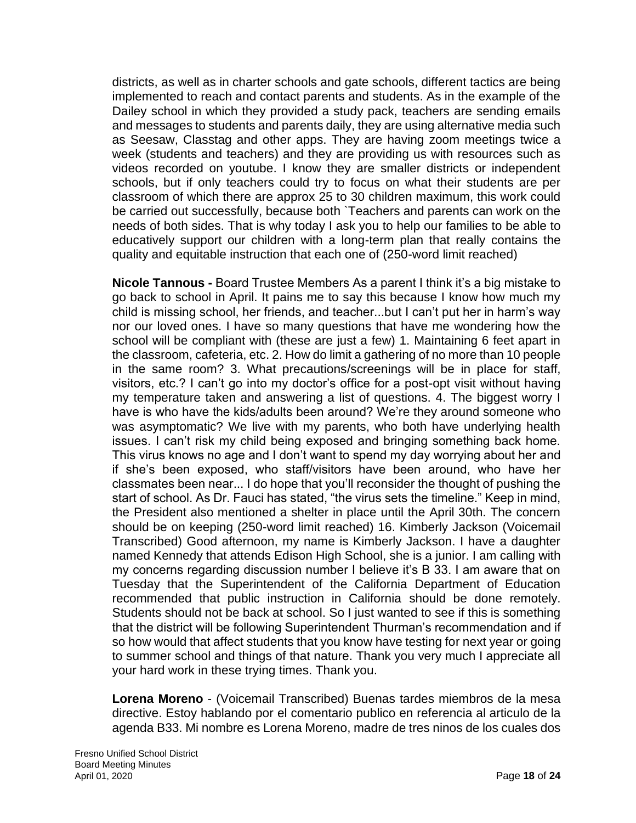districts, as well as in charter schools and gate schools, different tactics are being implemented to reach and contact parents and students. As in the example of the Dailey school in which they provided a study pack, teachers are sending emails and messages to students and parents daily, they are using alternative media such as Seesaw, Classtag and other apps. They are having zoom meetings twice a week (students and teachers) and they are providing us with resources such as videos recorded on youtube. I know they are smaller districts or independent schools, but if only teachers could try to focus on what their students are per classroom of which there are approx 25 to 30 children maximum, this work could be carried out successfully, because both `Teachers and parents can work on the needs of both sides. That is why today I ask you to help our families to be able to educatively support our children with a long-term plan that really contains the quality and equitable instruction that each one of (250-word limit reached)

**Nicole Tannous -** Board Trustee Members As a parent I think it's a big mistake to go back to school in April. It pains me to say this because I know how much my child is missing school, her friends, and teacher...but I can't put her in harm's way nor our loved ones. I have so many questions that have me wondering how the school will be compliant with (these are just a few) 1. Maintaining 6 feet apart in the classroom, cafeteria, etc. 2. How do limit a gathering of no more than 10 people in the same room? 3. What precautions/screenings will be in place for staff, visitors, etc.? I can't go into my doctor's office for a post-opt visit without having my temperature taken and answering a list of questions. 4. The biggest worry I have is who have the kids/adults been around? We're they around someone who was asymptomatic? We live with my parents, who both have underlying health issues. I can't risk my child being exposed and bringing something back home. This virus knows no age and I don't want to spend my day worrying about her and if she's been exposed, who staff/visitors have been around, who have her classmates been near... I do hope that you'll reconsider the thought of pushing the start of school. As Dr. Fauci has stated, "the virus sets the timeline." Keep in mind, the President also mentioned a shelter in place until the April 30th. The concern should be on keeping (250-word limit reached) 16. Kimberly Jackson (Voicemail Transcribed) Good afternoon, my name is Kimberly Jackson. I have a daughter named Kennedy that attends Edison High School, she is a junior. I am calling with my concerns regarding discussion number I believe it's B 33. I am aware that on Tuesday that the Superintendent of the California Department of Education recommended that public instruction in California should be done remotely. Students should not be back at school. So I just wanted to see if this is something that the district will be following Superintendent Thurman's recommendation and if so how would that affect students that you know have testing for next year or going to summer school and things of that nature. Thank you very much I appreciate all your hard work in these trying times. Thank you.

**Lorena Moreno** - (Voicemail Transcribed) Buenas tardes miembros de la mesa directive. Estoy hablando por el comentario publico en referencia al articulo de la agenda B33. Mi nombre es Lorena Moreno, madre de tres ninos de los cuales dos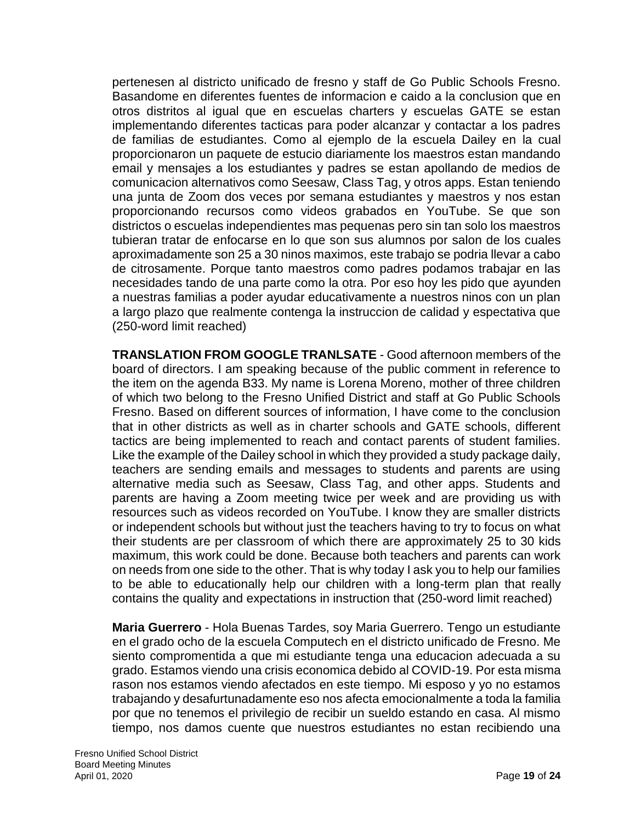pertenesen al districto unificado de fresno y staff de Go Public Schools Fresno. Basandome en diferentes fuentes de informacion e caido a la conclusion que en otros distritos al igual que en escuelas charters y escuelas GATE se estan implementando diferentes tacticas para poder alcanzar y contactar a los padres de familias de estudiantes. Como al ejemplo de la escuela Dailey en la cual proporcionaron un paquete de estucio diariamente los maestros estan mandando email y mensajes a los estudiantes y padres se estan apollando de medios de comunicacion alternativos como Seesaw, Class Tag, y otros apps. Estan teniendo una junta de Zoom dos veces por semana estudiantes y maestros y nos estan proporcionando recursos como videos grabados en YouTube. Se que son districtos o escuelas independientes mas pequenas pero sin tan solo los maestros tubieran tratar de enfocarse en lo que son sus alumnos por salon de los cuales aproximadamente son 25 a 30 ninos maximos, este trabajo se podria llevar a cabo de citrosamente. Porque tanto maestros como padres podamos trabajar en las necesidades tando de una parte como la otra. Por eso hoy les pido que ayunden a nuestras familias a poder ayudar educativamente a nuestros ninos con un plan a largo plazo que realmente contenga la instruccion de calidad y espectativa que (250-word limit reached)

**TRANSLATION FROM GOOGLE TRANLSATE** - Good afternoon members of the board of directors. I am speaking because of the public comment in reference to the item on the agenda B33. My name is Lorena Moreno, mother of three children of which two belong to the Fresno Unified District and staff at Go Public Schools Fresno. Based on different sources of information, I have come to the conclusion that in other districts as well as in charter schools and GATE schools, different tactics are being implemented to reach and contact parents of student families. Like the example of the Dailey school in which they provided a study package daily, teachers are sending emails and messages to students and parents are using alternative media such as Seesaw, Class Tag, and other apps. Students and parents are having a Zoom meeting twice per week and are providing us with resources such as videos recorded on YouTube. I know they are smaller districts or independent schools but without just the teachers having to try to focus on what their students are per classroom of which there are approximately 25 to 30 kids maximum, this work could be done. Because both teachers and parents can work on needs from one side to the other. That is why today I ask you to help our families to be able to educationally help our children with a long-term plan that really contains the quality and expectations in instruction that (250-word limit reached)

**Maria Guerrero** - Hola Buenas Tardes, soy Maria Guerrero. Tengo un estudiante en el grado ocho de la escuela Computech en el districto unificado de Fresno. Me siento compromentida a que mi estudiante tenga una educacion adecuada a su grado. Estamos viendo una crisis economica debido al COVID-19. Por esta misma rason nos estamos viendo afectados en este tiempo. Mi esposo y yo no estamos trabajando y desafurtunadamente eso nos afecta emocionalmente a toda la familia por que no tenemos el privilegio de recibir un sueldo estando en casa. Al mismo tiempo, nos damos cuente que nuestros estudiantes no estan recibiendo una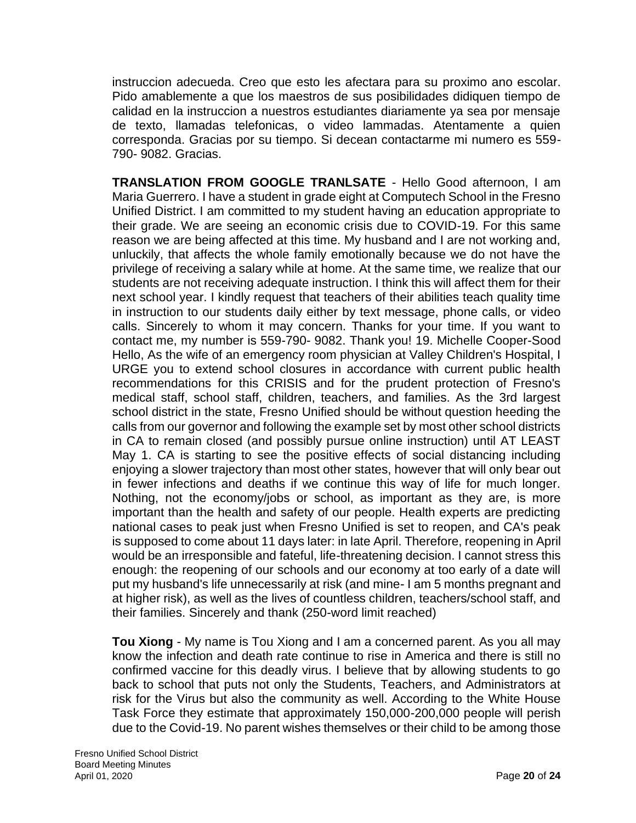instruccion adecueda. Creo que esto les afectara para su proximo ano escolar. Pido amablemente a que los maestros de sus posibilidades didiquen tiempo de calidad en la instruccion a nuestros estudiantes diariamente ya sea por mensaje de texto, llamadas telefonicas, o video lammadas. Atentamente a quien corresponda. Gracias por su tiempo. Si decean contactarme mi numero es 559- 790- 9082. Gracias.

**TRANSLATION FROM GOOGLE TRANLSATE** - Hello Good afternoon, I am Maria Guerrero. I have a student in grade eight at Computech School in the Fresno Unified District. I am committed to my student having an education appropriate to their grade. We are seeing an economic crisis due to COVID-19. For this same reason we are being affected at this time. My husband and I are not working and, unluckily, that affects the whole family emotionally because we do not have the privilege of receiving a salary while at home. At the same time, we realize that our students are not receiving adequate instruction. I think this will affect them for their next school year. I kindly request that teachers of their abilities teach quality time in instruction to our students daily either by text message, phone calls, or video calls. Sincerely to whom it may concern. Thanks for your time. If you want to contact me, my number is 559-790- 9082. Thank you! 19. Michelle Cooper-Sood Hello, As the wife of an emergency room physician at Valley Children's Hospital, I URGE you to extend school closures in accordance with current public health recommendations for this CRISIS and for the prudent protection of Fresno's medical staff, school staff, children, teachers, and families. As the 3rd largest school district in the state, Fresno Unified should be without question heeding the calls from our governor and following the example set by most other school districts in CA to remain closed (and possibly pursue online instruction) until AT LEAST May 1. CA is starting to see the positive effects of social distancing including enjoying a slower trajectory than most other states, however that will only bear out in fewer infections and deaths if we continue this way of life for much longer. Nothing, not the economy/jobs or school, as important as they are, is more important than the health and safety of our people. Health experts are predicting national cases to peak just when Fresno Unified is set to reopen, and CA's peak is supposed to come about 11 days later: in late April. Therefore, reopening in April would be an irresponsible and fateful, life-threatening decision. I cannot stress this enough: the reopening of our schools and our economy at too early of a date will put my husband's life unnecessarily at risk (and mine- I am 5 months pregnant and at higher risk), as well as the lives of countless children, teachers/school staff, and their families. Sincerely and thank (250-word limit reached)

**Tou Xiong** - My name is Tou Xiong and I am a concerned parent. As you all may know the infection and death rate continue to rise in America and there is still no confirmed vaccine for this deadly virus. I believe that by allowing students to go back to school that puts not only the Students, Teachers, and Administrators at risk for the Virus but also the community as well. According to the White House Task Force they estimate that approximately 150,000-200,000 people will perish due to the Covid-19. No parent wishes themselves or their child to be among those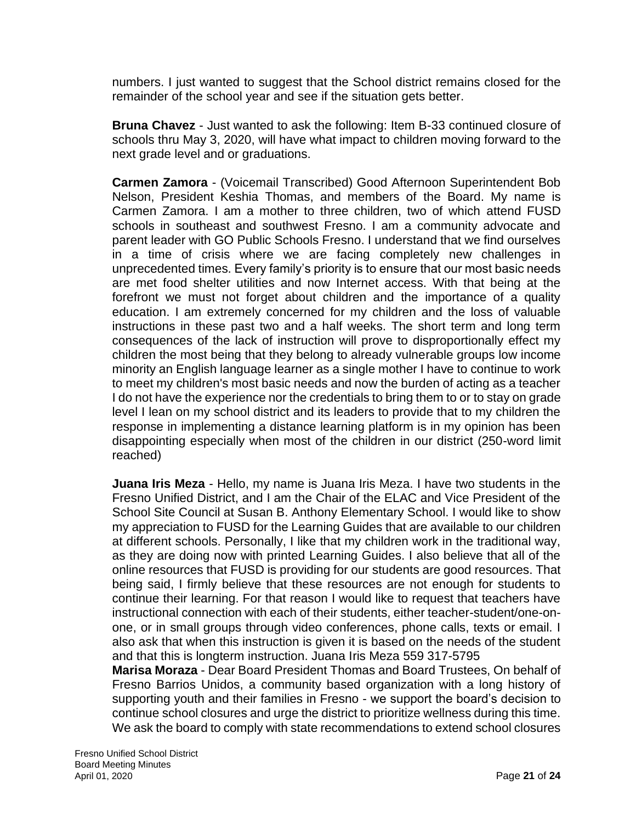numbers. I just wanted to suggest that the School district remains closed for the remainder of the school year and see if the situation gets better.

**Bruna Chavez** - Just wanted to ask the following: Item B-33 continued closure of schools thru May 3, 2020, will have what impact to children moving forward to the next grade level and or graduations.

**Carmen Zamora** - (Voicemail Transcribed) Good Afternoon Superintendent Bob Nelson, President Keshia Thomas, and members of the Board. My name is Carmen Zamora. I am a mother to three children, two of which attend FUSD schools in southeast and southwest Fresno. I am a community advocate and parent leader with GO Public Schools Fresno. I understand that we find ourselves in a time of crisis where we are facing completely new challenges in unprecedented times. Every family's priority is to ensure that our most basic needs are met food shelter utilities and now Internet access. With that being at the forefront we must not forget about children and the importance of a quality education. I am extremely concerned for my children and the loss of valuable instructions in these past two and a half weeks. The short term and long term consequences of the lack of instruction will prove to disproportionally effect my children the most being that they belong to already vulnerable groups low income minority an English language learner as a single mother I have to continue to work to meet my children's most basic needs and now the burden of acting as a teacher I do not have the experience nor the credentials to bring them to or to stay on grade level I lean on my school district and its leaders to provide that to my children the response in implementing a distance learning platform is in my opinion has been disappointing especially when most of the children in our district (250-word limit reached)

**Juana Iris Meza** - Hello, my name is Juana Iris Meza. I have two students in the Fresno Unified District, and I am the Chair of the ELAC and Vice President of the School Site Council at Susan B. Anthony Elementary School. I would like to show my appreciation to FUSD for the Learning Guides that are available to our children at different schools. Personally, I like that my children work in the traditional way, as they are doing now with printed Learning Guides. I also believe that all of the online resources that FUSD is providing for our students are good resources. That being said, I firmly believe that these resources are not enough for students to continue their learning. For that reason I would like to request that teachers have instructional connection with each of their students, either teacher-student/one-onone, or in small groups through video conferences, phone calls, texts or email. I also ask that when this instruction is given it is based on the needs of the student and that this is longterm instruction. Juana Iris Meza 559 317-5795

**Marisa Moraza** - Dear Board President Thomas and Board Trustees, On behalf of Fresno Barrios Unidos, a community based organization with a long history of supporting youth and their families in Fresno - we support the board's decision to continue school closures and urge the district to prioritize wellness during this time. We ask the board to comply with state recommendations to extend school closures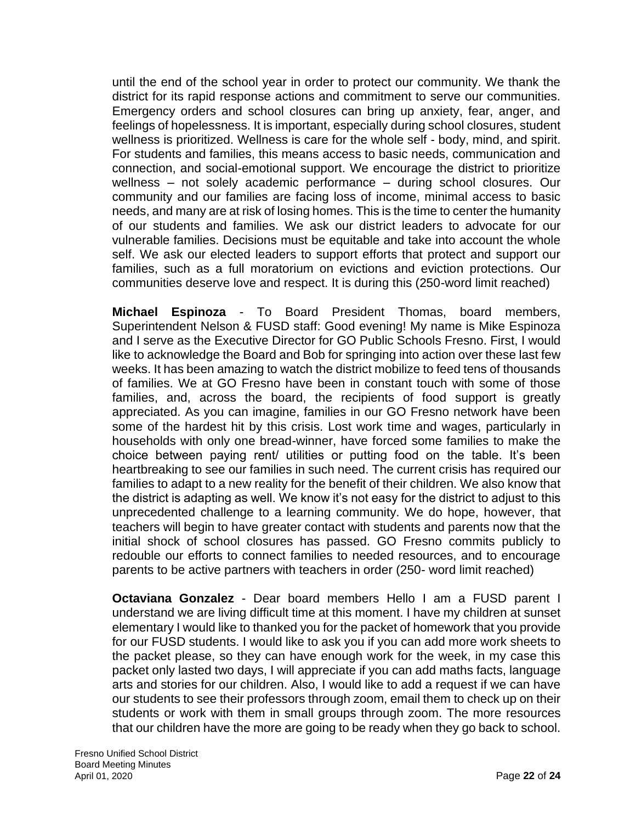until the end of the school year in order to protect our community. We thank the district for its rapid response actions and commitment to serve our communities. Emergency orders and school closures can bring up anxiety, fear, anger, and feelings of hopelessness. It is important, especially during school closures, student wellness is prioritized. Wellness is care for the whole self - body, mind, and spirit. For students and families, this means access to basic needs, communication and connection, and social-emotional support. We encourage the district to prioritize wellness – not solely academic performance – during school closures. Our community and our families are facing loss of income, minimal access to basic needs, and many are at risk of losing homes. This is the time to center the humanity of our students and families. We ask our district leaders to advocate for our vulnerable families. Decisions must be equitable and take into account the whole self. We ask our elected leaders to support efforts that protect and support our families, such as a full moratorium on evictions and eviction protections. Our communities deserve love and respect. It is during this (250-word limit reached)

**Michael Espinoza** - To Board President Thomas, board members, Superintendent Nelson & FUSD staff: Good evening! My name is Mike Espinoza and I serve as the Executive Director for GO Public Schools Fresno. First, I would like to acknowledge the Board and Bob for springing into action over these last few weeks. It has been amazing to watch the district mobilize to feed tens of thousands of families. We at GO Fresno have been in constant touch with some of those families, and, across the board, the recipients of food support is greatly appreciated. As you can imagine, families in our GO Fresno network have been some of the hardest hit by this crisis. Lost work time and wages, particularly in households with only one bread-winner, have forced some families to make the choice between paying rent/ utilities or putting food on the table. It's been heartbreaking to see our families in such need. The current crisis has required our families to adapt to a new reality for the benefit of their children. We also know that the district is adapting as well. We know it's not easy for the district to adjust to this unprecedented challenge to a learning community. We do hope, however, that teachers will begin to have greater contact with students and parents now that the initial shock of school closures has passed. GO Fresno commits publicly to redouble our efforts to connect families to needed resources, and to encourage parents to be active partners with teachers in order (250- word limit reached)

**Octaviana Gonzalez** - Dear board members Hello I am a FUSD parent I understand we are living difficult time at this moment. I have my children at sunset elementary I would like to thanked you for the packet of homework that you provide for our FUSD students. I would like to ask you if you can add more work sheets to the packet please, so they can have enough work for the week, in my case this packet only lasted two days, I will appreciate if you can add maths facts, language arts and stories for our children. Also, I would like to add a request if we can have our students to see their professors through zoom, email them to check up on their students or work with them in small groups through zoom. The more resources that our children have the more are going to be ready when they go back to school.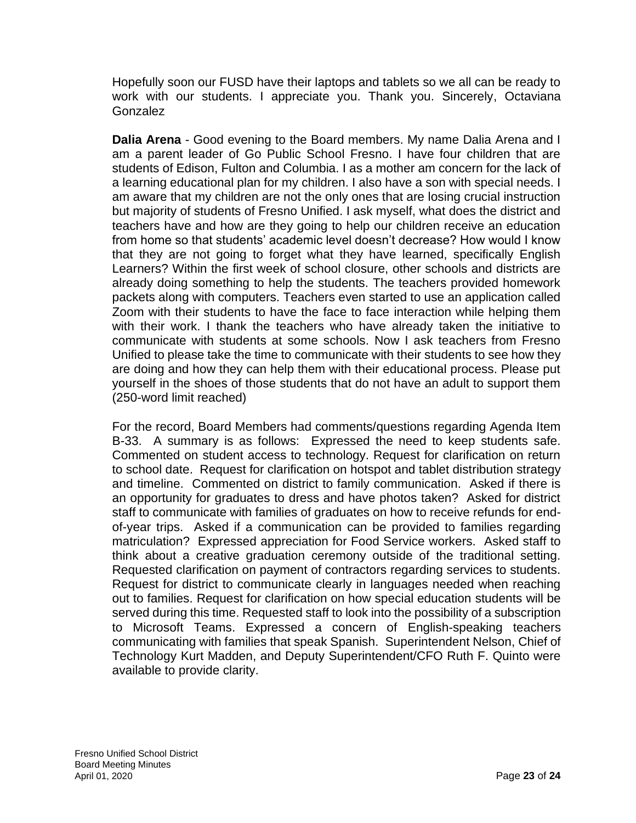Hopefully soon our FUSD have their laptops and tablets so we all can be ready to work with our students. I appreciate you. Thank you. Sincerely, Octaviana Gonzalez

**Dalia Arena** - Good evening to the Board members. My name Dalia Arena and I am a parent leader of Go Public School Fresno. I have four children that are students of Edison, Fulton and Columbia. I as a mother am concern for the lack of a learning educational plan for my children. I also have a son with special needs. I am aware that my children are not the only ones that are losing crucial instruction but majority of students of Fresno Unified. I ask myself, what does the district and teachers have and how are they going to help our children receive an education from home so that students' academic level doesn't decrease? How would I know that they are not going to forget what they have learned, specifically English Learners? Within the first week of school closure, other schools and districts are already doing something to help the students. The teachers provided homework packets along with computers. Teachers even started to use an application called Zoom with their students to have the face to face interaction while helping them with their work. I thank the teachers who have already taken the initiative to communicate with students at some schools. Now I ask teachers from Fresno Unified to please take the time to communicate with their students to see how they are doing and how they can help them with their educational process. Please put yourself in the shoes of those students that do not have an adult to support them (250-word limit reached)

For the record, Board Members had comments/questions regarding Agenda Item B-33. A summary is as follows: Expressed the need to keep students safe. Commented on student access to technology. Request for clarification on return to school date. Request for clarification on hotspot and tablet distribution strategy and timeline. Commented on district to family communication. Asked if there is an opportunity for graduates to dress and have photos taken? Asked for district staff to communicate with families of graduates on how to receive refunds for endof-year trips. Asked if a communication can be provided to families regarding matriculation? Expressed appreciation for Food Service workers. Asked staff to think about a creative graduation ceremony outside of the traditional setting. Requested clarification on payment of contractors regarding services to students. Request for district to communicate clearly in languages needed when reaching out to families. Request for clarification on how special education students will be served during this time. Requested staff to look into the possibility of a subscription to Microsoft Teams. Expressed a concern of English-speaking teachers communicating with families that speak Spanish. Superintendent Nelson, Chief of Technology Kurt Madden, and Deputy Superintendent/CFO Ruth F. Quinto were available to provide clarity.